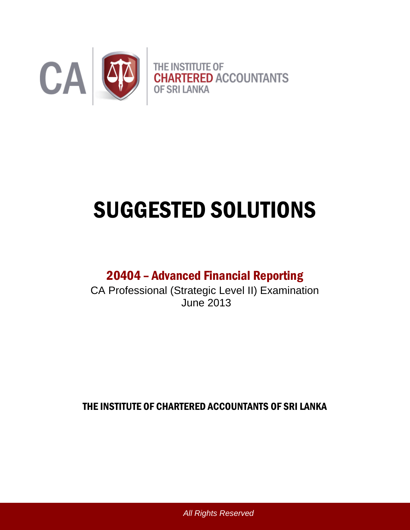

# SUGGESTED SOLUTIONS

# 20404 – Advanced Financial Reporting

CA Professional (Strategic Level II) Examination June 2013

THE INSTITUTE OF CHARTERED ACCOUNTANTS OF SRI LANKA

*All Rights Reserved*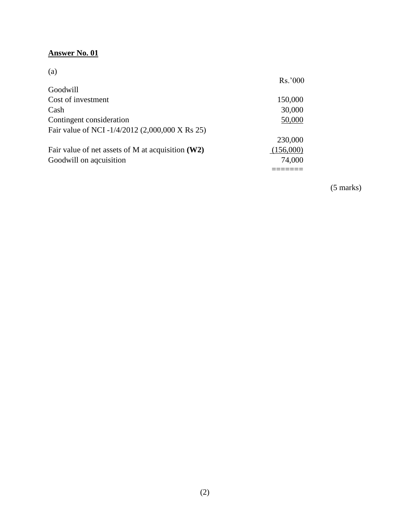# **Answer No. 01**

(a)

|                                                     | Rs.'000   |
|-----------------------------------------------------|-----------|
| Goodwill                                            |           |
| Cost of investment                                  | 150,000   |
| Cash                                                | 30,000    |
| Contingent consideration                            | 50,000    |
| Fair value of NCI -1/4/2012 (2,000,000 X Rs 25)     |           |
|                                                     | 230,000   |
| Fair value of net assets of M at acquisition $(W2)$ | (156,000) |
| Goodwill on aqcuisition                             | 74,000    |
|                                                     |           |

(5 marks)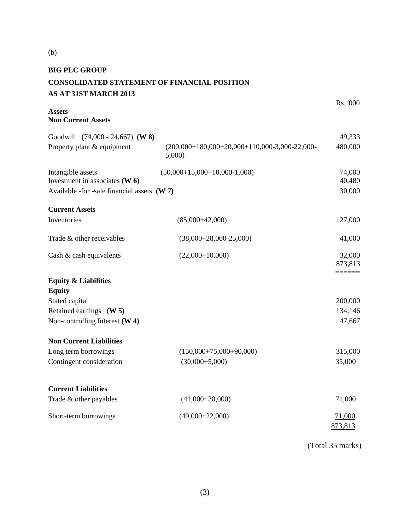| <b>BIG PLC GROUP</b>                                |                                                          |          |
|-----------------------------------------------------|----------------------------------------------------------|----------|
| <b>CONSOLIDATED STATEMENT OF FINANCIAL POSITION</b> |                                                          |          |
| AS AT 31ST MARCH 2013                               |                                                          |          |
|                                                     |                                                          | Rs. '000 |
| <b>Assets</b><br><b>Non Current Assets</b>          |                                                          |          |
| Goodwill (74,000 - 24,667) (W 8)                    |                                                          | 49,333   |
| Property plant & equipment                          | $(200,000+180,000+20,000+110,000-3,000-22,000-$<br>5,000 | 480,000  |
| Intangible assets                                   | $(50,000+15,000+10,000-1,000)$                           | 74,000   |
| Investment in associates $(W 6)$                    |                                                          | 40,480   |
| Available -for -sale financial assets $(W 7)$       |                                                          | 30,000   |
| <b>Current Assets</b>                               |                                                          |          |
| Inventories                                         | $(85,000+42,000)$                                        | 127,000  |
|                                                     |                                                          |          |
| Trade & other receivables                           | $(38,000+28,000-25,000)$                                 | 41,000   |
| Cash & cash equivalents                             | $(22,000+10,000)$                                        | 32,000   |
|                                                     |                                                          | 873,813  |
| <b>Equity &amp; Liabilities</b>                     |                                                          | ======   |
| <b>Equity</b>                                       |                                                          |          |
| Stated capital                                      |                                                          | 200,000  |
| Retained earnings (W 5)                             |                                                          | 134,146  |
| Non-controlling Interest $(W 4)$                    |                                                          | 47,667   |
|                                                     |                                                          |          |
| <b>Non Current Liabilities</b>                      |                                                          |          |
| Long term borrowings                                | $(150,000+75,000+90,000)$                                | 315,000  |
| Contingent consideration                            | $(30,000+5,000)$                                         | 35,000   |
|                                                     |                                                          |          |
| <b>Current Liabilities</b>                          |                                                          |          |
| Trade & other payables                              | $(41,000+30,000)$                                        | 71,000   |
|                                                     |                                                          |          |
| Short-term borrowings                               | $(49,000+22,000)$                                        | 71,000   |
|                                                     |                                                          | 873,813  |
|                                                     |                                                          |          |

(b)

(Total 35 marks)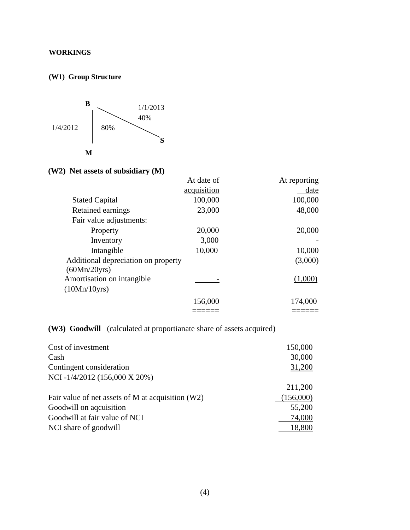### **WORKINGS**

#### **(W1) Group Structure**



# **(W2) Net assets of subsidiary (M)**

|                                     | At date of  | At reporting |
|-------------------------------------|-------------|--------------|
|                                     | acquisition | date         |
| <b>Stated Capital</b>               | 100,000     | 100,000      |
| Retained earnings                   | 23,000      | 48,000       |
| Fair value adjustments:             |             |              |
| Property                            | 20,000      | 20,000       |
| Inventory                           | 3,000       |              |
| Intangible                          | 10,000      | 10,000       |
| Additional depreciation on property |             | (3,000)      |
| (60Mn/20yrs)                        |             |              |
| Amortisation on intangible          |             | (1,000)      |
| (10Mn/10yrs)                        |             |              |
|                                     | 156,000     | 174,000      |
|                                     |             |              |

# **(W3) Goodwill** (calculated at proportianate share of assets acquired)

| Cost of investment                                  | 150,000   |
|-----------------------------------------------------|-----------|
| Cash                                                | 30,000    |
| Contingent consideration                            | 31,200    |
| NCI-1/4/2012 (156,000 X 20%)                        |           |
|                                                     | 211,200   |
| Fair value of net assets of M at acquisition $(W2)$ | (156,000) |
| Goodwill on aqcuisition                             | 55,200    |
| Goodwill at fair value of NCI                       | 74,000    |
| NCI share of goodwill                               | 18,800    |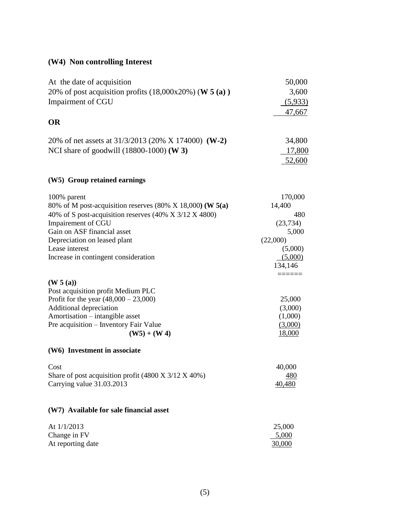# **(W4) Non controlling Interest**

| At the date of acquisition<br>20% of post acquisition profits $(18,000x20%)$ (W 5 (a))<br>Impairment of CGU                                                                                                                                                                               | 50,000<br>3,600<br>(5,933)<br>47,667                                                                                   |  |
|-------------------------------------------------------------------------------------------------------------------------------------------------------------------------------------------------------------------------------------------------------------------------------------------|------------------------------------------------------------------------------------------------------------------------|--|
| <b>OR</b>                                                                                                                                                                                                                                                                                 |                                                                                                                        |  |
| 20% of net assets at 31/3/2013 (20% X 174000) (W-2)<br>NCI share of goodwill (18800-1000) (W 3)                                                                                                                                                                                           | 34,800<br>17,800<br>52,600                                                                                             |  |
| (W5) Group retained earnings                                                                                                                                                                                                                                                              |                                                                                                                        |  |
| 100% parent<br>80% of M post-acquisition reserves $(80\% \times 18,000)$ (W 5(a)<br>40% of S post-acquisition reserves (40% X 3/12 X 4800)<br>Impairement of CGU<br>Gain on ASF financial asset<br>Depreciation on leased plant<br>Lease interest<br>Increase in contingent consideration | 170,000<br>14,400<br>480<br>(23, 734)<br>5,000<br>(22,000)<br>(5,000)<br>(5,000)<br>134,146<br>$=$ $=$ $=$ $=$ $=$ $=$ |  |
| (W 5 (a))<br>Post acquisition profit Medium PLC<br>Profit for the year $(48,000 - 23,000)$<br>Additional depreciation<br>Amortisation - intangible asset<br>Pre acquisition – Inventory Fair Value<br>$(W5) + (W4)$                                                                       | 25,000<br>(3,000)<br>(1,000)<br>(3,000)<br>18,000                                                                      |  |
| (W6) Investment in associate                                                                                                                                                                                                                                                              |                                                                                                                        |  |
| Cost<br>Share of post acquisition profit (4800 X 3/12 X 40%)<br>Carrying value 31.03.2013                                                                                                                                                                                                 | 40,000<br><u>480</u><br>40,480                                                                                         |  |
| (W7) Available for sale financial asset                                                                                                                                                                                                                                                   |                                                                                                                        |  |
| At $1/1/2013$<br>Change in FV<br>At reporting date                                                                                                                                                                                                                                        | 25,000<br>5,000<br>30,000                                                                                              |  |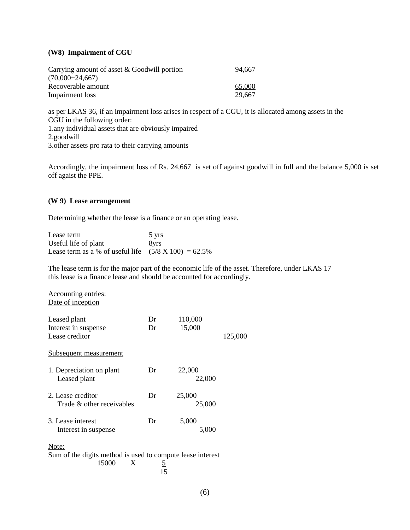#### **(W8) Impairment of CGU**

| Carrying amount of asset $& Goodwill$ portion | 94.667 |
|-----------------------------------------------|--------|
| $(70,000+24,667)$                             |        |
| Recoverable amount                            | 65,000 |
| Impairment loss                               | 29,667 |

as per LKAS 36, if an impairment loss arises in respect of a CGU, it is allocated among assets in the CGU in the following order: 1.any individual assets that are obviously impaired 2.goodwill 3.other assets pro rata to their carrying amounts

Accordingly, the impairment loss of Rs. 24,667 is set off against goodwill in full and the balance 5,000 is set off agaist the PPE.

#### **(W 9) Lease arrangement**

Determining whether the lease is a finance or an operating lease.

| Lease term                                                       | 5 yrs |
|------------------------------------------------------------------|-------|
| Useful life of plant                                             | 8yrs  |
| Lease term as a % of useful life $(5/8 \text{ X } 100) = 62.5\%$ |       |

The lease term is for the major part of the economic life of the asset. Therefore, under LKAS 17 this lease is a finance lease and should be accounted for accordingly.

| Accounting entries:<br>Date of inception                                                     |          |                   |         |  |
|----------------------------------------------------------------------------------------------|----------|-------------------|---------|--|
| Leased plant<br>Interest in suspense<br>Lease creditor                                       | Dr<br>Dr | 110,000<br>15,000 | 125,000 |  |
| <u>Subsequent measurement</u>                                                                |          |                   |         |  |
| 1. Depreciation on plant<br>Leased plant                                                     | Dr       | 22,000<br>22,000  |         |  |
| 2. Lease creditor<br>Trade & other receivables                                               | Dr       | 25,000<br>25,000  |         |  |
| 3. Lease interest<br>Interest in suspense                                                    | Dr       | 5,000<br>5,000    |         |  |
| Note:<br>Sum of the digits method is used to compute lease interest<br>15000<br>X<br>5<br>15 |          |                   |         |  |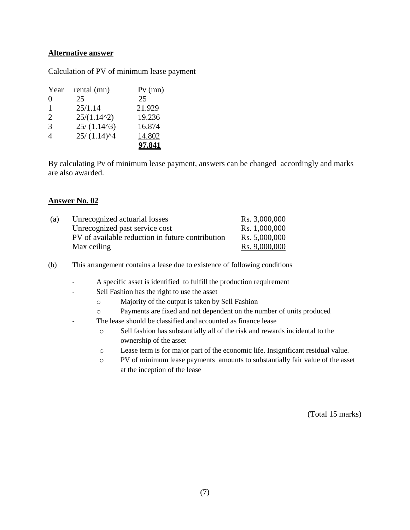#### **Alternative answer**

Calculation of PV of minimum lease payment

| Year           | rental (mn)                                  | $Pv$ (mn) |
|----------------|----------------------------------------------|-----------|
| $\Omega$       | 25                                           | 25        |
| 1              | 25/1.14                                      | 21.929    |
| 2              | $25/(1.14^2)$                                | 19.236    |
| $\mathcal{R}$  | 25/(1.14 <sup>2</sup> )                      | 16.874    |
| $\overline{A}$ | $25/(1.14)$ <sup><math>\text{4}</math></sup> | 14.802    |
|                |                                              | 97.841    |

By calculating Pv of minimum lease payment, answers can be changed accordingly and marks are also awarded.

#### **Answer No. 02**

| (a) | Unrecognized actuarial losses                    | Rs. 3,000,000 |
|-----|--------------------------------------------------|---------------|
|     | Unrecognized past service cost                   | Rs. 1,000,000 |
|     | PV of available reduction in future contribution | Rs. 5,000,000 |
|     | Max ceiling                                      | Rs. 9,000,000 |

(b) This arrangement contains a lease due to existence of following conditions

- A specific asset is identified to fulfill the production requirement
- Sell Fashion has the right to use the asset
	- o Majority of the output is taken by Sell Fashion
	- o Payments are fixed and not dependent on the number of units produced
- The lease should be classified and accounted as finance lease
	- o Sell fashion has substantially all of the risk and rewards incidental to the ownership of the asset
	- o Lease term is for major part of the economic life. Insignificant residual value.
	- o PV of minimum lease payments amounts to substantially fair value of the asset at the inception of the lease

(Total 15 marks)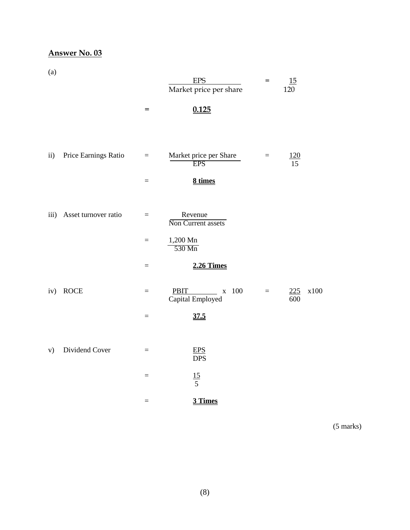# **Answer No. 03**

(a)

| $\ddotsc$     |                      |          | <b>EPS</b><br>Market price per share                               | $=$      | 15<br>120        |      |
|---------------|----------------------|----------|--------------------------------------------------------------------|----------|------------------|------|
|               |                      | $=$      | 0.125                                                              |          |                  |      |
|               |                      |          |                                                                    |          |                  |      |
| $\mathbf{ii}$ | Price Earnings Ratio | $\equiv$ | Market price per Share<br><b>EPS</b>                               | $\equiv$ | <u>120</u><br>15 |      |
|               |                      | $=$      | 8 times                                                            |          |                  |      |
|               |                      |          |                                                                    |          |                  |      |
| iii)          | Asset turnover ratio | $\equiv$ | Revenue<br>Non Current assets                                      |          |                  |      |
|               |                      | $=$      | 1,200 Mn<br>$530$ Mn                                               |          |                  |      |
|               |                      | $=$      | <b>2.26 Times</b>                                                  |          |                  |      |
| iv)           | <b>ROCE</b>          | $\equiv$ | <b>PBIT</b><br>$\frac{\phantom{0}}{100}$ x 100<br>Capital Employed | $\equiv$ | 225<br>600       | x100 |
|               |                      | $=$      | 37.5                                                               |          |                  |      |
|               |                      |          |                                                                    |          |                  |      |
| V)            | Dividend Cover       | $\equiv$ | <b>EPS</b><br><b>DPS</b>                                           |          |                  |      |
|               |                      | $=$      | $\frac{15}{5}$                                                     |          |                  |      |
|               |                      | $=$      | 3 Times                                                            |          |                  |      |

(5 marks)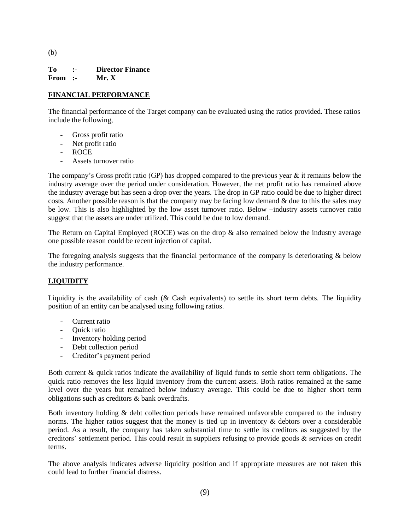(b)

**To :- Director Finance From :- Mr. X**

#### **FINANCIAL PERFORMANCE**

The financial performance of the Target company can be evaluated using the ratios provided. These ratios include the following,

- Gross profit ratio
- Net profit ratio
- ROCE
- Assets turnover ratio

The company's Gross profit ratio (GP) has dropped compared to the previous year  $\&$  it remains below the industry average over the period under consideration. However, the net profit ratio has remained above the industry average but has seen a drop over the years. The drop in GP ratio could be due to higher direct costs. Another possible reason is that the company may be facing low demand  $\&$  due to this the sales may be low. This is also highlighted by the low asset turnover ratio. Below –industry assets turnover ratio suggest that the assets are under utilized. This could be due to low demand.

The Return on Capital Employed (ROCE) was on the drop & also remained below the industry average one possible reason could be recent injection of capital.

The foregoing analysis suggests that the financial performance of the company is deteriorating  $\&$  below the industry performance.

#### **LIQUIDITY**

Liquidity is the availability of cash (& Cash equivalents) to settle its short term debts. The liquidity position of an entity can be analysed using following ratios.

- Current ratio
- Quick ratio
- Inventory holding period
- Debt collection period
- Creditor's payment period

Both current & quick ratios indicate the availability of liquid funds to settle short term obligations. The quick ratio removes the less liquid inventory from the current assets. Both ratios remained at the same level over the years but remained below industry average. This could be due to higher short term obligations such as creditors & bank overdrafts.

Both inventory holding & debt collection periods have remained unfavorable compared to the industry norms. The higher ratios suggest that the money is tied up in inventory  $\&$  debtors over a considerable period. As a result, the company has taken substantial time to settle its creditors as suggested by the creditors' settlement period. This could result in suppliers refusing to provide goods & services on credit terms.

The above analysis indicates adverse liquidity position and if appropriate measures are not taken this could lead to further financial distress.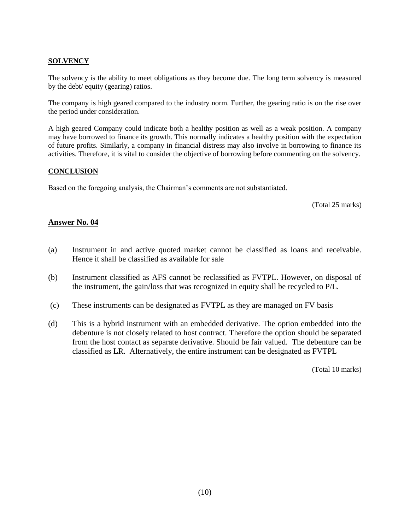#### **SOLVENCY**

The solvency is the ability to meet obligations as they become due. The long term solvency is measured by the debt/ equity (gearing) ratios.

The company is high geared compared to the industry norm. Further, the gearing ratio is on the rise over the period under consideration.

A high geared Company could indicate both a healthy position as well as a weak position. A company may have borrowed to finance its growth. This normally indicates a healthy position with the expectation of future profits. Similarly, a company in financial distress may also involve in borrowing to finance its activities. Therefore, it is vital to consider the objective of borrowing before commenting on the solvency.

#### **CONCLUSION**

Based on the foregoing analysis, the Chairman's comments are not substantiated.

(Total 25 marks)

#### **Answer No. 04**

- (a) Instrument in and active quoted market cannot be classified as loans and receivable. Hence it shall be classified as available for sale
- (b) Instrument classified as AFS cannot be reclassified as FVTPL. However, on disposal of the instrument, the gain/loss that was recognized in equity shall be recycled to P/L.
- (c) These instruments can be designated as FVTPL as they are managed on FV basis
- (d) This is a hybrid instrument with an embedded derivative. The option embedded into the debenture is not closely related to host contract. Therefore the option should be separated from the host contact as separate derivative. Should be fair valued. The debenture can be classified as LR. Alternatively, the entire instrument can be designated as FVTPL

(Total 10 marks)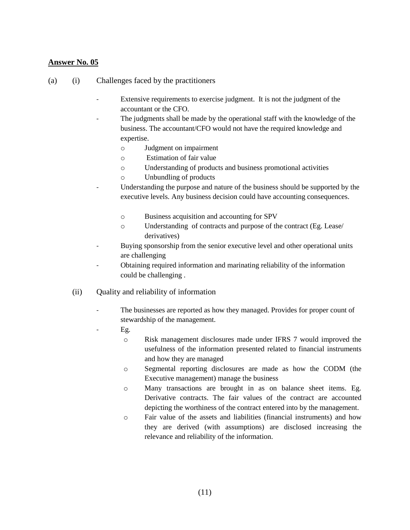#### **Answer No. 05**

- (a) (i) Challenges faced by the practitioners
	- Extensive requirements to exercise judgment. It is not the judgment of the accountant or the CFO.
	- The judgments shall be made by the operational staff with the knowledge of the business. The accountant/CFO would not have the required knowledge and expertise.
		- o Judgment on impairment
		- o Estimation of fair value
		- o Understanding of products and business promotional activities
		- o Unbundling of products
	- Understanding the purpose and nature of the business should be supported by the executive levels. Any business decision could have accounting consequences.
		- o Business acquisition and accounting for SPV
		- o Understanding of contracts and purpose of the contract (Eg. Lease/ derivatives)
	- Buying sponsorship from the senior executive level and other operational units are challenging
	- Obtaining required information and marinating reliability of the information could be challenging .
	- (ii) Quality and reliability of information
		- The businesses are reported as how they managed. Provides for proper count of stewardship of the management.
			- Eg.
				- o Risk management disclosures made under IFRS 7 would improved the usefulness of the information presented related to financial instruments and how they are managed
				- o Segmental reporting disclosures are made as how the CODM (the Executive management) manage the business
				- o Many transactions are brought in as on balance sheet items. Eg. Derivative contracts. The fair values of the contract are accounted depicting the worthiness of the contract entered into by the management.
				- o Fair value of the assets and liabilities (financial instruments) and how they are derived (with assumptions) are disclosed increasing the relevance and reliability of the information.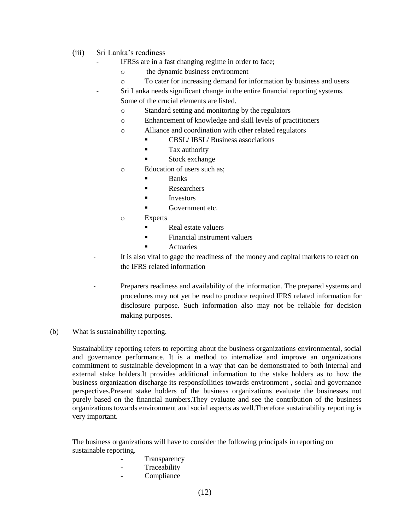- (iii) Sri Lanka's readiness
	- IFRSs are in a fast changing regime in order to face;
		- o the dynamic business environment
		- o To cater for increasing demand for information by business and users
	- Sri Lanka needs significant change in the entire financial reporting systems. Some of the crucial elements are listed.
		- o Standard setting and monitoring by the regulators
		- o Enhancement of knowledge and skill levels of practitioners
		- o Alliance and coordination with other related regulators
			- **CBSL/IBSL/ Business associations**
			- **Tax authority**
			- **Stock exchange**
		- o Education of users such as;
			- Banks
			- **Researchers**
			- Investors
			- Government etc.
		- o Experts
			- Real estate valuers
			- **Financial instrument valuers** 
				- Actuaries
	- It is also vital to gage the readiness of the money and capital markets to react on the IFRS related information
	- Preparers readiness and availability of the information. The prepared systems and procedures may not yet be read to produce required IFRS related information for disclosure purpose. Such information also may not be reliable for decision making purposes.
- (b) What is sustainability reporting.

Sustainability reporting refers to reporting about the business organizations environmental, social and governance performance. It is a method to internalize and improve an organizations commitment to sustainable development in a way that can be demonstrated to both internal and external stake holders.It provides additional information to the stake holders as to how the business organization discharge its responsibilities towards environment , social and governance perspectives.Present stake holders of the business organizations evaluate the businesses not purely based on the financial numbers.They evaluate and see the contribution of the business organizations towards environment and social aspects as well.Therefore sustainability reporting is very important.

The business organizations will have to consider the following principals in reporting on sustainable reporting.

- **Transparency**
- **Traceability**
- Compliance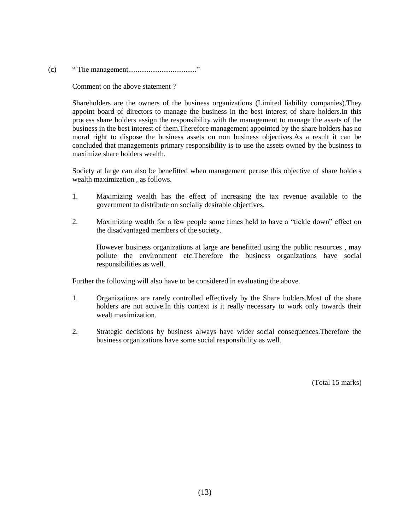(c) " The management....................................."

Comment on the above statement ?

Shareholders are the owners of the business organizations (Limited liability companies).They appoint board of directors to manage the business in the best interest of share holders.In this process share holders assign the responsibility with the management to manage the assets of the business in the best interest of them.Therefore management appointed by the share holders has no moral right to dispose the business assets on non business objectives.As a result it can be concluded that managements primary responsibility is to use the assets owned by the business to maximize share holders wealth.

Society at large can also be benefitted when management peruse this objective of share holders wealth maximization , as follows.

- 1. Maximizing wealth has the effect of increasing the tax revenue available to the government to distribute on socially desirable objectives.
- 2. Maximizing wealth for a few people some times held to have a "tickle down" effect on the disadvantaged members of the society.

However business organizations at large are benefitted using the public resources , may pollute the environment etc.Therefore the business organizations have social responsibilities as well.

Further the following will also have to be considered in evaluating the above.

- 1. Organizations are rarely controlled effectively by the Share holders.Most of the share holders are not active.In this context is it really necessary to work only towards their wealt maximization.
- 2. Strategic decisions by business always have wider social consequences.Therefore the business organizations have some social responsibility as well.

(Total 15 marks)